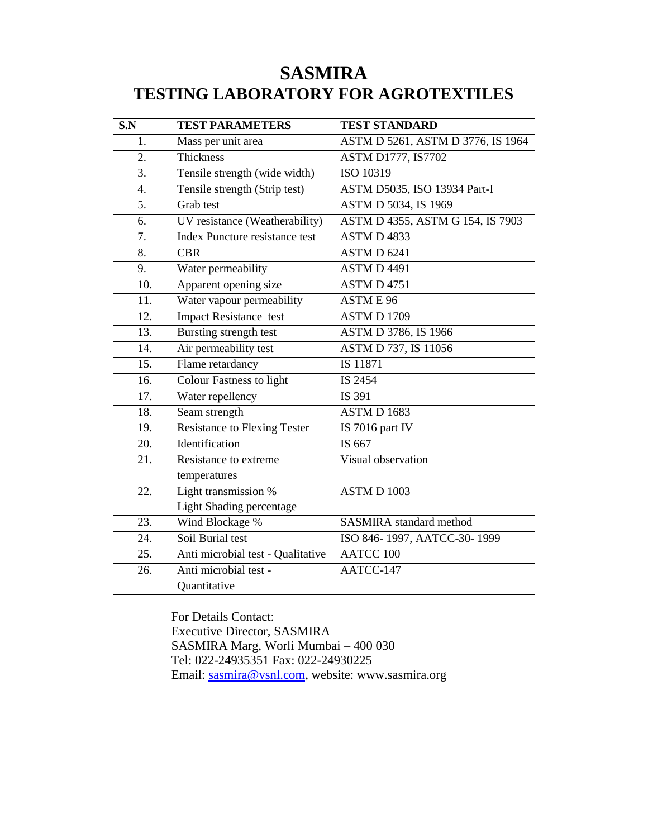## **SASMIRA TESTING LABORATORY FOR AGROTEXTILES**

| S.N               | <b>TEST PARAMETERS</b>                | <b>TEST STANDARD</b>              |
|-------------------|---------------------------------------|-----------------------------------|
| 1.                | Mass per unit area                    | ASTM D 5261, ASTM D 3776, IS 1964 |
| 2.                | Thickness                             | ASTM D1777, IS7702                |
| $\overline{3}$ .  | Tensile strength (wide width)         | ISO 10319                         |
| $\overline{4}$ .  | Tensile strength (Strip test)         | ASTM D5035, ISO 13934 Part-I      |
| 5.                | Grab test                             | ASTM D 5034, IS 1969              |
| 6.                | UV resistance (Weatherability)        | ASTM D 4355, ASTM G 154, IS 7903  |
| 7.                | <b>Index Puncture resistance test</b> | ASTM D 4833                       |
| 8.                | <b>CBR</b>                            | ASTM D 6241                       |
| 9.                | Water permeability                    | ASTM D 4491                       |
| 10.               | Apparent opening size                 | ASTM D 4751                       |
| 11.               | Water vapour permeability             | ASTME 96                          |
| 12.               | <b>Impact Resistance test</b>         | <b>ASTM D 1709</b>                |
| $\overline{13}$ . | <b>Bursting strength test</b>         | ASTM D 3786, IS 1966              |
| 14.               | Air permeability test                 | ASTM D 737, IS 11056              |
| $\overline{15}$ . | Flame retardancy                      | IS 11871                          |
| 16.               | <b>Colour Fastness to light</b>       | IS 2454                           |
| 17.               | Water repellency                      | IS 391                            |
| 18.               | Seam strength                         | ASTM D 1683                       |
| 19.               | <b>Resistance to Flexing Tester</b>   | IS 7016 part IV                   |
| 20.               | Identification                        | IS 667                            |
| 21.               | Resistance to extreme                 | Visual observation                |
|                   | temperatures                          |                                   |
| 22.               | Light transmission %                  | ASTM D 1003                       |
|                   | Light Shading percentage              |                                   |
| 23.               | Wind Blockage %                       | <b>SASMIRA</b> standard method    |
| 24.               | Soil Burial test                      | ISO 846-1997, AATCC-30-1999       |
| 25.               | Anti microbial test - Qualitative     | <b>AATCC 100</b>                  |
| 26.               | Anti microbial test -                 | AATCC-147                         |
|                   | Quantitative                          |                                   |

For Details Contact: Executive Director, SASMIRA SASMIRA Marg, Worli Mumbai – 400 030 Tel: 022-24935351 Fax: 022-24930225 Email: [sasmira@vsnl.com,](mailto:sasmira@vsnl.com) website: www.sasmira.org